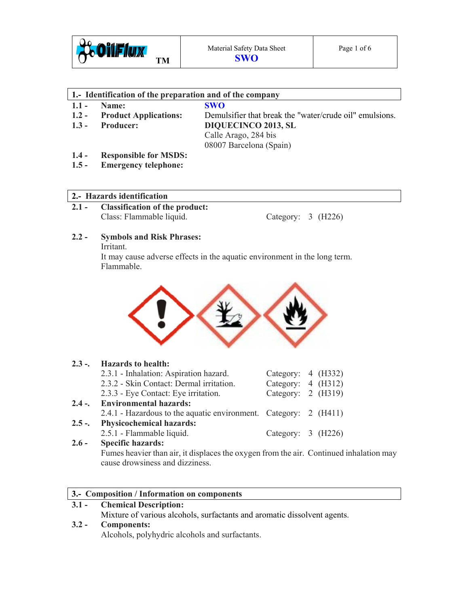

| 1. Identification of the preparation and of the company |  |
|---------------------------------------------------------|--|
|---------------------------------------------------------|--|

| 1.1 - Name:                 | <b>SWO</b>                                              |
|-----------------------------|---------------------------------------------------------|
| 1.2 - Product Applications: | Demulsifier that break the "water/crude oil" emulsions. |
| 1.3 - Producer:             | DIOHECINCO 2013. SL                                     |

**1.3 - Producer: DIQUECINCO 2013, SL** Calle Arago, 284 bis 08007 Barcelona (Spain)

- **1.4 Responsible for MSDS:**
- **1.5 Emergency telephone:**

## **2.- Hazards identification**

**2.1 - Classification of the product:**  Class: Flammable liquid. Category: 3 (H226)

#### **2.2 - Symbols and Risk Phrases:**  Irritant.

It may cause adverse effects in the aquatic environment in the long term. Flammable.



|         | 2.3 -. Hazards to health:                                                              |                      |  |
|---------|----------------------------------------------------------------------------------------|----------------------|--|
|         | 2.3.1 - Inhalation: Aspiration hazard.                                                 | Category: 4 (H332)   |  |
|         | 2.3.2 - Skin Contact: Dermal irritation.                                               | Category: $4$ (H312) |  |
|         | 2.3.3 - Eye Contact: Eye irritation.                                                   | Category: 2 (H319)   |  |
|         | 2.4 -. Environmental hazards:                                                          |                      |  |
|         | 2.4.1 - Hazardous to the aquatic environment. Category: 2 (H411)                       |                      |  |
|         | 2.5 -. Physicochemical hazards:                                                        |                      |  |
|         | 2.5.1 - Flammable liquid.                                                              | Category: 3 (H226)   |  |
| $2.6 -$ | <b>Specific hazards:</b>                                                               |                      |  |
|         | Fumes heavier than air, it displaces the oxygen from the air. Continued inhalation may |                      |  |

cause drowsiness and dizziness.

## **3.- Composition / Information on components**

# **3.1 - Chemical Description:**

Mixture of various alcohols, surfactants and aromatic dissolvent agents.

# **3.2 - Components:**

Alcohols, polyhydric alcohols and surfactants.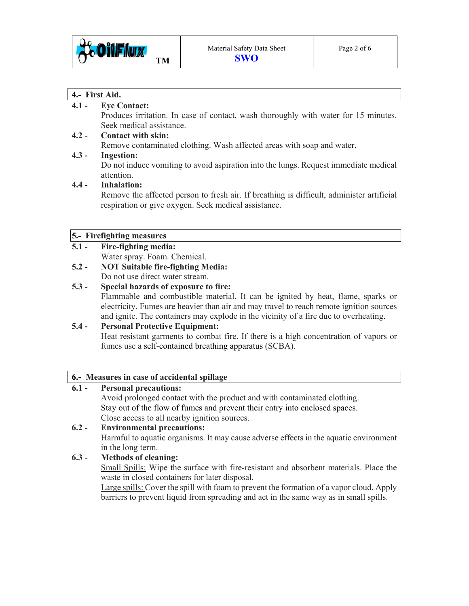

#### **4.- First Aid.**

#### **4.1 - Eye Contact:**

Produces irritation. In case of contact, wash thoroughly with water for 15 minutes. Seek medical assistance.

# **4.2 - Contact with skin:**

Remove contaminated clothing. Wash affected areas with soap and water.

## **4.3 - Ingestion:**

Do not induce vomiting to avoid aspiration into the lungs. Request immediate medical attention.

## **4.4 - Inhalation:**

Remove the affected person to fresh air. If breathing is difficult, administer artificial respiration or give oxygen. Seek medical assistance.

#### **5.- Firefighting measures**

- **5.1 Fire-fighting media:**  Water spray. Foam. Chemical.
- **5.2 NOT Suitable fire-fighting Media:**  Do not use direct water stream.

#### **5.3 - Special hazards of exposure to fire:**  Flammable and combustible material. It can be ignited by heat, flame, sparks or electricity. Fumes are heavier than air and may travel to reach remote ignition sources and ignite. The containers may explode in the vicinity of a fire due to overheating.

## **5.4 - Personal Protective Equipment:**

Heat resistant garments to combat fire. If there is a high concentration of vapors or fumes use a self-contained breathing apparatus (SCBA).

## **6.- Measures in case of accidental spillage**

# **6.1 - Personal precautions:**

Avoid prolonged contact with the product and with contaminated clothing. Stay out of the flow of fumes and prevent their entry into enclosed spaces. Close access to all nearby ignition sources.

# **6.2 - Environmental precautions:**  Harmful to aquatic organisms. It may cause adverse effects in the aquatic environment in the long term.

## **6.3 - Methods of cleaning:**

Small Spills: Wipe the surface with fire-resistant and absorbent materials. Place the waste in closed containers for later disposal.

 Large spills: Cover the spill with foam to prevent the formation of a vapor cloud. Apply barriers to prevent liquid from spreading and act in the same way as in small spills.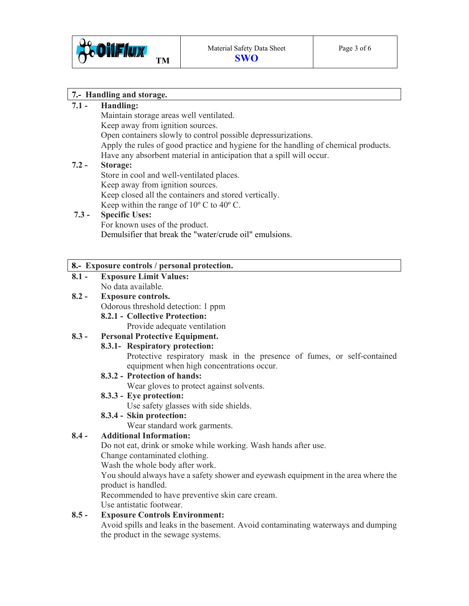

## **7.- Handling and storage.**

## **7.1 - Handling:**

Maintain storage areas well ventilated.

Keep away from ignition sources.

Open containers slowly to control possible depressurizations.

 Apply the rules of good practice and hygiene for the handling of chemical products. Have any absorbent material in anticipation that a spill will occur.

## **7.2 - Storage:**

Store in cool and well-ventilated places. Keep away from ignition sources. Keep closed all the containers and stored vertically. Keep within the range of 10º C to 40º C.

#### **7.3 - Specific Uses:** For known uses of the product. Demulsifier that break the "water/crude oil" emulsions.

## **8.- Exposure controls / personal protection.**

**8.1 - Exposure Limit Values:**  No data available.

# **8.2 - Exposure controls.**

Odorous threshold detection: 1 ppm

 **8.2.1 - Collective Protection:** 

Provide adequate ventilation

# **8.3 - Personal Protective Equipment.**

#### **8.3.1- Respiratory protection:**

Protective respiratory mask in the presence of fumes, or self-contained equipment when high concentrations occur.

#### **8.3.2 - Protection of hands:**

Wear gloves to protect against solvents.

#### **8.3.3 - Eye protection:**

Use safety glasses with side shields.

## **8.3.4 - Skin protection:**

Wear standard work garments.

## **8.4 - Additional Information:**

Do not eat, drink or smoke while working. Wash hands after use.

Change contaminated clothing.

Wash the whole body after work.

 You should always have a safety shower and eyewash equipment in the area where the product is handled.

Recommended to have preventive skin care cream.

Use antistatic footwear.

## **8.5 - Exposure Controls Environment:**

Avoid spills and leaks in the basement. Avoid contaminating waterways and dumping the product in the sewage systems.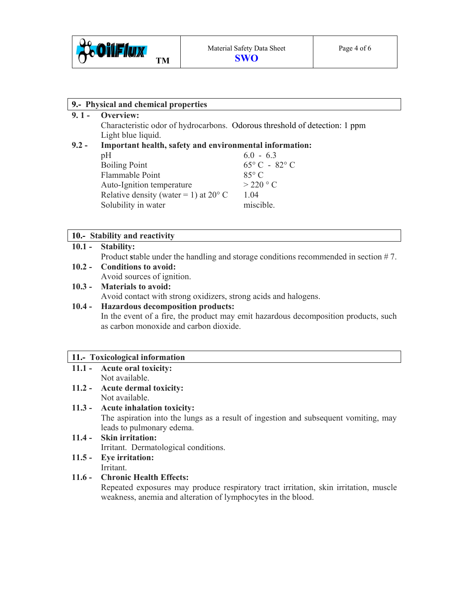

#### **9.- Physical and chemical properties**

- **9. 1 Overview:**  Characteristic odor of hydrocarbons. Odorous threshold of detection: 1 ppm Light blue liquid.
- **9.2 Important health, safety and environmental information:**

| pH                                             | $6.0 - 6.3$                     |
|------------------------------------------------|---------------------------------|
| <b>Boiling Point</b>                           | $65^{\circ}$ C - $82^{\circ}$ C |
| Flammable Point                                | $85^\circ$ C                    |
| Auto-Ignition temperature                      | $>$ 220 $^{\circ}$ C            |
| Relative density (water = 1) at $20^{\circ}$ C | 1 04                            |
| Solubility in water                            | miscible.                       |
|                                                |                                 |

## **10.- Stability and reactivity**

**10.1 - Stability:** 

Product stable under the handling and storage conditions recommended in section #7.

**10.2 - Conditions to avoid:** 

Avoid sources of ignition.

**10.3 - Materials to avoid:**  Avoid contact with strong oxidizers, strong acids and halogens.

#### **10.4 - Hazardous decomposition products:**

In the event of a fire, the product may emit hazardous decomposition products, such as carbon monoxide and carbon dioxide.

#### **11.- Toxicological information**

- **11.1 Acute oral toxicity:**
- Not available. **11.2 - Acute dermal toxicity:** 
	- Not available.

## **11.3 - Acute inhalation toxicity:**

The aspiration into the lungs as a result of ingestion and subsequent vomiting, may leads to pulmonary edema.

# **11.4 - Skin irritation:**  Irritant.Dermatological conditions.

**11.5 - Eye irritation:**  Irritant.

## **11.6 - Chronic Health Effects:**

Repeated exposures may produce respiratory tract irritation, skin irritation, muscle weakness, anemia and alteration of lymphocytes in the blood.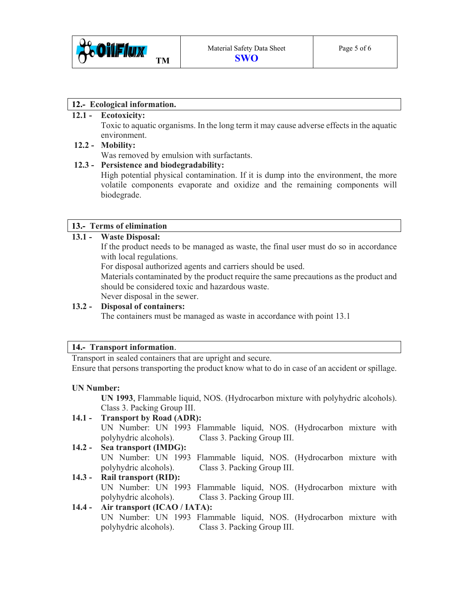

#### **12.- Ecological information.**

#### **12.1 - Ecotoxicity:**

Toxic to aquatic organisms. In the long term it may cause adverse effects in the aquatic environment.

#### **12.2 - Mobility:**

Was removed by emulsion with surfactants.

## **12.3 - Persistence and biodegradability:**

High potential physical contamination. If it is dump into the environment, the more volatile components evaporate and oxidize and the remaining components will biodegrade.

#### **13.- Terms of elimination**

#### **13.1 - Waste Disposal:**

If the product needs to be managed as waste, the final user must do so in accordance with local regulations.

For disposal authorized agents and carriers should be used.

 Materials contaminated by the product require the same precautions as the product and should be considered toxic and hazardous waste.

Never disposal in the sewer.

## **13.2 - Disposal of containers:**

The containers must be managed as waste in accordance with point 13.1

#### **14.- Transport information**.

Transport in sealed containers that are upright and secure.

Ensure that persons transporting the product know what to do in case of an accident or spillage.

#### **UN Number:**

 **UN 1993**, Flammable liquid, NOS. (Hydrocarbon mixture with polyhydric alcohols). Class 3. Packing Group III.

## **14.1 - Transport by Road (ADR):**

 UN Number: UN 1993 Flammable liquid, NOS. (Hydrocarbon mixture with polyhydric alcohols). Class 3. Packing Group III.

#### **14.2 - Sea transport (IMDG):**

UN Number: UN 1993 Flammable liquid, NOS. (Hydrocarbon mixture with polyhydric alcohols). Class 3. Packing Group III.

#### **14.3 - Rail transport (RID):**

UN Number: UN 1993 Flammable liquid, NOS. (Hydrocarbon mixture with polyhydric alcohols). Class 3. Packing Group III.

## **14.4 - Air transport (ICAO / IATA):**

UN Number: UN 1993 Flammable liquid, NOS. (Hydrocarbon mixture with polyhydric alcohols). Class 3. Packing Group III.